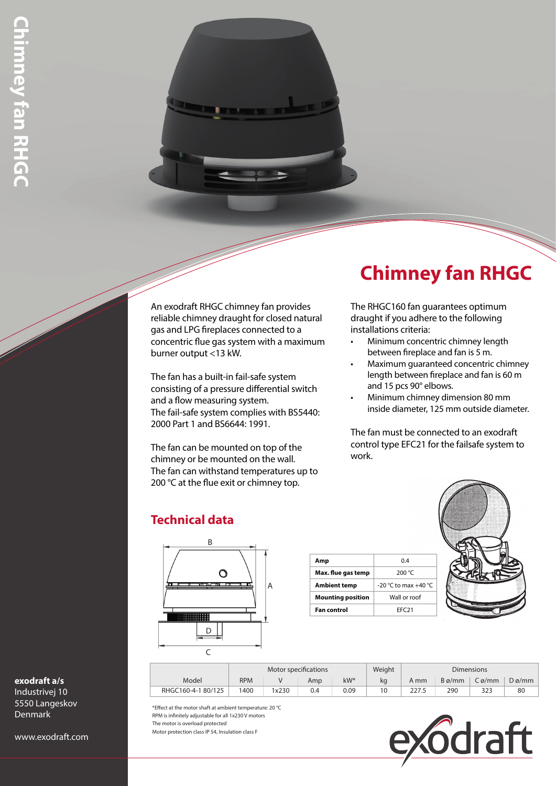An exodraft RHGC chimney fan provides reliable chimney draught for closed natural gas and LPG fireplaces connected to a concentric flue gas system with a maximum burner output <13 kW.

The fan has a built-in fail-safe system consisting of a pressure differential switch and a flow measuring system. The fail-safe system complies with BS5440: 2000 Part 1 and BS6644: 1991.

The fan can be mounted on top of the chimney or be mounted on the wall. The fan can withstand temperatures up to 200 °C at the flue exit or chimney top.

# **Chimney fan RHGC**

The RHGC160 fan guarantees optimum draught if you adhere to the following installations criteria:

- Minimum concentric chimney length between fireplace and fan is 5 m.
- Maximum guaranteed concentric chimney length between fireplace and fan is 60 m and 15 pcs 90° elbows.
- Minimum chimney dimension 80 mm inside diameter, 125 mm outside diameter.

The fan must be connected to an exodraft control type EFC21 for the failsafe system to work.



# **Technical data**



**Amp** 0.4 **Max. flue gas temp** 200 °C **Ambient temp**  $\Big| -20$  °C to max +40 °C **Mounting position** Wall or roof **Fan control EFC21** 

|                   | Motor specifications |       |     |      | Weight | <b>Dimensions</b> |               |       |                   |
|-------------------|----------------------|-------|-----|------|--------|-------------------|---------------|-------|-------------------|
| Model             | <b>RPM</b>           |       | Amp | kW*  | ka     | A mm              | $B\varphi/mm$ | Cø/mm | $D\varnothing/mm$ |
| RHGC160-4-180/125 | 1400                 | 1x230 | 0.4 | 0.09 |        | 227.5             | 290           | 323   | 80                |

\*Effect at the motor shaft at ambient temperature: 20 °C RPM is infinitely adjustable for all 1x230 V motors The motor is overload protected Motor protection class IP 54, Insulation class F



### **exodraft a/s**

Industrivej 10 5550 Langeskov Denmark

www.exodraft.com